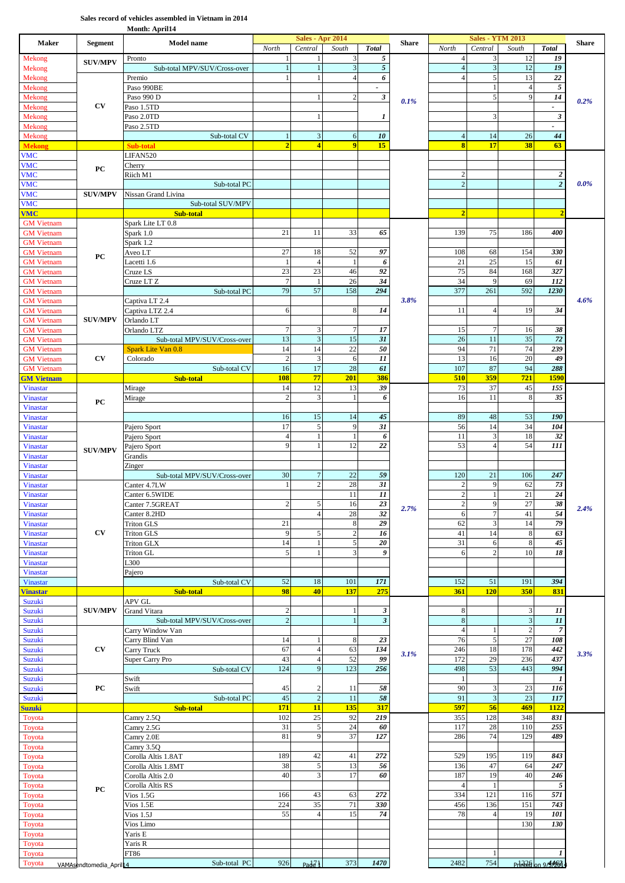## **Sales record of vehicles assembled in Vietnam in 2014**

**Month: April14**

| <b>Maker</b>                           | <b>Segment</b>          | <b>Model name</b>                        |                      | <b>Sales - Apr 2014</b>          |                |                      | <b>Share</b> |                         | <b>Sales - YTM 2013</b>        |                       |                      | <b>Share</b> |
|----------------------------------------|-------------------------|------------------------------------------|----------------------|----------------------------------|----------------|----------------------|--------------|-------------------------|--------------------------------|-----------------------|----------------------|--------------|
| Mekong                                 |                         | Pronto                                   | North                | Central                          | South<br>3     | <b>Total</b><br>5    |              | North<br>$\overline{4}$ | Central<br>3                   | South<br>12           | <b>Total</b><br>19   |              |
| Mekong                                 | <b>SUV/MPV</b>          | Sub-total MPV/SUV/Cross-over             | $\overline{1}$       |                                  | $\overline{3}$ | $\sqrt{5}$           |              | $\overline{4}$          | $\overline{3}$                 | 12                    | 19                   |              |
| Mekong                                 |                         | Premio                                   |                      |                                  | $\overline{4}$ | 6                    |              | $\overline{4}$          | $\sqrt{5}$                     | 13                    | 22                   |              |
| Mekong                                 |                         | Paso 990BE                               |                      |                                  |                | $\blacksquare$       |              |                         | $\mathbf{1}$                   | $\overline{4}$        | $\sqrt{5}$           |              |
| Mekong<br>Mekong                       | $\mathbf{C}\mathbf{V}$  | Paso 990 D<br>Paso 1.5TD                 |                      |                                  | $\overline{c}$ | $\boldsymbol{\beta}$ | 0.1%         |                         | 5                              | 9                     | 14<br>$\overline{a}$ | 0.2%         |
| Mekong                                 |                         | Paso 2.0TD                               |                      | $\mathbf{1}$                     |                | 1                    |              |                         | 3                              |                       | 3                    |              |
| Mekong                                 |                         | Paso 2.5TD                               |                      |                                  |                |                      |              |                         |                                |                       |                      |              |
| Mekong                                 |                         | Sub-total CV                             | 1                    | $\sqrt{3}$                       | 6              | 10                   |              | $\overline{4}$          | 14                             | 26                    | 44                   |              |
| <b>Mekong</b><br><b>VMC</b>            |                         | <b>Sub-total</b><br>LIFAN520             | $\overline{2}$       | $\overline{4}$                   | $\overline{9}$ | 15                   |              | $\overline{\mathbf{8}}$ | 17                             | 38                    | 63                   |              |
| <b>VMC</b>                             |                         | Cherry                                   |                      |                                  |                |                      |              |                         |                                |                       |                      |              |
| <b>VMC</b>                             | PC                      | Riich M1                                 |                      |                                  |                |                      |              | $\overline{c}$          |                                |                       | $\boldsymbol{2}$     |              |
| <b>VMC</b>                             |                         | Sub-total PC                             |                      |                                  |                |                      |              | $\overline{2}$          |                                |                       | $\overline{2}$       | 0.0%         |
| <b>VMC</b><br><b>VMC</b>               | <b>SUV/MPV</b>          | Nissan Grand Livina<br>Sub-total SUV/MPV |                      |                                  |                |                      |              |                         |                                |                       |                      |              |
| <b>VMC</b>                             |                         | Sub-total                                |                      |                                  |                |                      |              | $\overline{2}$          |                                |                       | $\overline{2}$       |              |
| <b>GM</b> Vietnam                      |                         | Spark Lite LT 0.8                        |                      |                                  |                |                      |              |                         |                                |                       |                      |              |
| <b>GM</b> Vietnam                      |                         | Spark 1.0                                | 21                   | 11                               | 33             | 65                   |              | 139                     | 75                             | 186                   | 400                  |              |
| <b>GM</b> Vietnam<br><b>GM</b> Vietnam |                         | Spark 1.2<br>Aveo LT                     | 27                   | 18                               | 52             | 97                   |              | 108                     | 68                             | 154                   | 330                  |              |
| <b>GM</b> Vietnam                      | PC                      | Lacetti 1.6                              |                      | $\overline{4}$                   | $\mathbf{1}$   | 6                    |              | 21                      | 25                             | 15                    | 61                   |              |
| <b>GM</b> Vietnam                      |                         | Cruze LS                                 | 23                   | 23                               | 46             | 92                   |              | 75                      | 84                             | 168                   | 327                  |              |
| <b>GM</b> Vietnam                      |                         | Cruze LT <sub>Z</sub>                    | $\overline{7}$       |                                  | 26             | 34                   |              | 34                      | 9                              | 69                    | 112                  |              |
| <b>GM</b> Vietnam                      |                         | Sub-total PC                             | 79                   | 57                               | 158            | 294                  | 3.8%         | 377                     | 261                            | 592                   | 1230                 | 4.6%         |
| <b>GM</b> Vietnam<br><b>GM</b> Vietnam |                         | Captiva LT 2.4<br>Captiva LTZ 2.4        | $\sqrt{6}$           |                                  | 8              | 14                   |              | 11                      | $\overline{4}$                 | 19                    | 34                   |              |
| <b>GM</b> Vietnam                      | <b>SUV/MPV</b>          | Orlando LT                               |                      |                                  |                |                      |              |                         |                                |                       |                      |              |
| <b>GM</b> Vietnam                      |                         | Orlando LTZ                              | $\overline{7}$       | 3                                | $\overline{7}$ | 17                   |              | 15                      | $\overline{7}$                 | 16                    | 38                   |              |
| <b>GM</b> Vietnam                      |                         | Sub-total MPV/SUV/Cross-over             | 13                   | $\overline{\mathbf{3}}$          | 15             | 31                   |              | 26                      | 11                             | 35                    | 72                   |              |
| <b>GM</b> Vietnam<br><b>GM</b> Vietnam | CV                      | Spark Lite Van 0.8<br>Colorado           | 14<br>$\overline{c}$ | 14<br>$\overline{\mathbf{3}}$    | 22<br>6        | 50<br>11             |              | 94<br>13                | 71<br>16                       | 74<br>$\overline{20}$ | 239<br>49            |              |
| <b>GM</b> Vietnam                      |                         | Sub-total CV                             | 16                   | 17                               | 28             | 61                   |              | 107                     | 87                             | 94                    | 288                  |              |
| <b>GM Vietnam</b>                      |                         | Sub-total                                | <b>108</b>           | 77                               | 201            | 386                  |              | 510                     | 359                            | 721                   | <b>1590</b>          |              |
| <b>Vinastar</b>                        |                         | Mirage                                   | 14                   | 12                               | 13             | 39                   |              | 73                      | 37                             | 45                    | 155                  |              |
| <b>Vinastar</b><br><b>Vinastar</b>     | PC                      | Mirage                                   | $\overline{c}$       | 3                                | $\mathbf{1}$   | 6                    |              | 16                      | 11                             | 8                     | 35                   |              |
| <b>Vinastar</b>                        |                         |                                          | 16                   | 15                               | 14             | 45                   |              | 89                      | 48                             | 53                    | 190                  |              |
| <b>Vinastar</b>                        |                         | Pajero Sport                             | 17                   | $\sqrt{5}$                       | 9              | 31                   |              | 56                      | 14                             | 34                    | 104                  |              |
| <b>Vinastar</b>                        |                         | Pajero Sport                             | $\overline{4}$       | $\mathbf{1}$                     | -1             | 6                    |              | 11                      | $\mathfrak z$                  | 18                    | 32                   |              |
| <b>Vinastar</b><br><b>Vinastar</b>     | <b>SUV/MPV</b>          | Pajero Sport                             | 9                    |                                  | 12             | 22                   |              | 53                      | $\overline{4}$                 | 54                    | 111                  |              |
| <b>Vinastar</b>                        |                         | Grandis<br>Zinger                        |                      |                                  |                |                      |              |                         |                                |                       |                      |              |
| <b>Vinastar</b>                        |                         | Sub-total MPV/SUV/Cross-over             | 30                   | $\overline{7}$                   | 22             | 59                   |              | 120                     | 21                             | 106                   | 247                  |              |
| Vinastar                               |                         | Canter 4.7LW                             | $\overline{1}$       | $\overline{2}$                   | 28             | 31                   |              | $\overline{2}$          | 9                              | 62                    | 73                   |              |
| <b>Vinastar</b>                        |                         | Canter 6.5WIDE                           |                      |                                  | 11<br>16       | 11<br>23             |              | $\overline{c}$          | $\mathbf{1}$<br>$\overline{9}$ | 21<br>$27\,$          | 24<br>38             |              |
| Vinastar<br>Vinastar                   |                         | Canter 7.5GREAT<br>Canter 8.2HD          |                      | $\mathcal{L}$<br>$\overline{4}$  | 28             | 32                   | 2.7%         | 6                       | $\tau$                         | 41                    | 54                   | 2.4%         |
| <b>Vinastar</b>                        |                         | Triton GLS                               | 21                   |                                  | 8              | 29                   |              | 62                      | 3                              | 14                    | 79                   |              |
| <b>Vinastar</b>                        | CV                      | <b>Triton GLS</b>                        | 9                    | $\sqrt{5}$                       | $\overline{c}$ | 16                   |              | 41                      | 14                             | $\,8\,$               | 63                   |              |
| <b>Vinastar</b>                        |                         | <b>Triton GLX</b>                        | 14                   | $\mathbf{1}$                     | 5              | 20                   |              | 31                      | 6                              | $\,8\,$               | 45                   |              |
| <b>Vinastar</b><br><b>Vinastar</b>     |                         | Triton GL<br>L300                        | 5                    |                                  | 3              | 9                    |              | 6                       | $\overline{c}$                 | 10                    | 18                   |              |
| Vinastar                               |                         | Pajero                                   |                      |                                  |                |                      |              |                         |                                |                       |                      |              |
| <b>Vinastar</b>                        |                         | Sub-total CV                             | 52                   | 18                               | 101            | 171                  |              | 152                     | 51                             | 191                   | 394                  |              |
| <b>Vinastar</b>                        |                         | Sub-total                                | 98                   | 40                               | 137            | 275                  |              | 361                     | <b>120</b>                     | 350                   | 831                  |              |
| Suzuki<br>Suzuki                       | <b>SUV/MPV</b>          | APV GL<br>Grand Vitara                   | $\overline{c}$       |                                  |                | 3                    |              | 8                       |                                | 3                     | 11                   |              |
| <b>Suzuki</b>                          |                         | Sub-total MPV/SUV/Cross-over             | $\overline{c}$       |                                  | $\mathbf{1}$   | $\mathfrak z$        |              | $\,$ 8 $\,$             |                                | $\mathfrak 3$         | 11                   |              |
| <b>Suzuki</b>                          |                         | Carry Window Van                         |                      |                                  |                |                      |              | $\overline{4}$          | -1                             | $\overline{2}$        | $\boldsymbol{7}$     |              |
| <b>Suzuki</b>                          | CV                      | Carry Blind Van                          | 14<br>67             | $\overline{4}$                   | 8<br>63        | 23<br>134            |              | 76<br>246               | $\sqrt{5}$<br>18               | 27<br>178             | 108<br>442           |              |
| Suzuki<br><b>Suzuki</b>                |                         | Carry Truck<br>Super Carry Pro           | 43                   | $\overline{4}$                   | 52             | 99                   | 3.1%         | 172                     | 29                             | 236                   | 437                  | 3.3%         |
| Suzuki                                 |                         | Sub-total CV                             | 124                  | 9                                | 123            | 256                  |              | 498                     | 53                             | 443                   | 994                  |              |
| <b>Suzuki</b>                          |                         | Swift                                    |                      |                                  |                |                      |              | -1                      |                                |                       | 1                    |              |
| <b>Suzuki</b>                          | PC                      | Swift<br>Sub-total PC                    | 45<br>45             | $\overline{c}$<br>$\overline{2}$ | 11<br>11       | 58<br>58             |              | 90<br>91                | 3<br>$\mathfrak{Z}$            | 23<br>23              | 116<br>117           |              |
| Suzuki<br><b>Suzuki</b>                |                         | Sub-total                                | 171                  | 11                               | 135            | 317                  |              | 597                     | 56                             | 469                   | 1122                 |              |
| Toyota                                 |                         | Camry 2.5Q                               | 102                  | 25                               | 92             | 219                  |              | 355                     | 128                            | 348                   | 831                  |              |
| Toyota                                 |                         | Camry 2.5G                               | 31                   | 5                                | 24             | 60                   |              | 117                     | 28                             | 110                   | 255                  |              |
| Toyota                                 |                         | Camry 2.0E                               | 81                   | 9                                | 37             | 127                  |              | 286                     | 74                             | 129                   | 489                  |              |
| Toyota<br>Toyota                       |                         | Camry 3.5Q<br>Corolla Altis 1.8AT        | 189                  | 42                               | 41             | 272                  |              | 529                     | 195                            | 119                   | 843                  |              |
| Toyota                                 |                         | Corolla Altis 1.8MT                      | 38                   | $\sqrt{5}$                       | 13             | 56                   |              | 136                     | 47                             | 64                    | 247                  |              |
| Toyota                                 |                         | Corolla Altis 2.0                        | 40                   | $\mathfrak{Z}$                   | 17             | 60                   |              | 187                     | 19                             | 40                    | 246                  |              |
| Toyota                                 | PC                      | Corolla Altis RS                         |                      |                                  |                |                      |              | $\overline{4}$          | $\mathbf{1}$                   |                       | 5                    |              |
| Toyota<br>Toyota                       |                         | Vios $1.5G$<br>Vios $1.5E$               | 166<br>224           | 43<br>35                         | 63<br>71       | 272<br>330           |              | 334<br>456              | 121<br>136                     | 116<br>151            | 571<br>743           |              |
| Toyota                                 |                         | Vios $1.5J$                              | 55                   | $\overline{4}$                   | 15             | 74                   |              | 78                      | $\overline{4}$                 | 19                    | 101                  |              |
| Toyota                                 |                         | Vios Limo                                |                      |                                  |                |                      |              |                         |                                | 130                   | 130                  |              |
| Toyota                                 |                         | Yaris E                                  |                      |                                  |                |                      |              |                         |                                |                       |                      |              |
| Toyota<br>Toyota                       |                         | Yaris R<br>FT86                          |                      |                                  |                |                      |              |                         |                                |                       |                      |              |
| Toyota                                 | VAMAsendtomedia_April14 | Sub-total PC                             | 926                  | Pad21                            | 373            | 1470                 |              | 2482                    | 754                            | $Pr$ $R$ $\theta$     | 19/ <del>3/201</del> |              |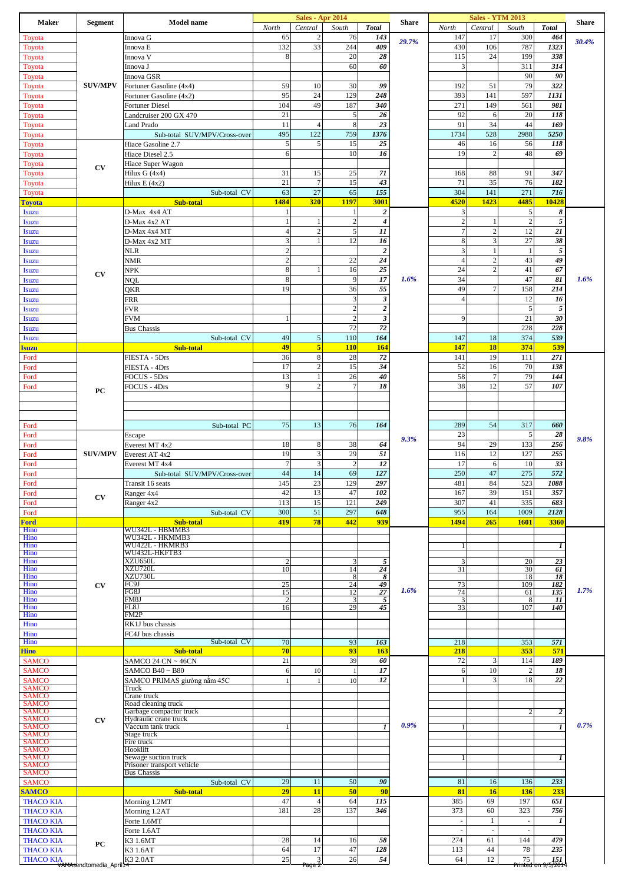| <b>Maker</b>                                | <b>Segment</b>         | Model name                                        | North                   | <b>Sales - Apr 2014</b><br>Central | South              |                                      | Share | North               | <b>Sales - YTM 2013</b><br>Central | South                    |                           | <b>Share</b> |
|---------------------------------------------|------------------------|---------------------------------------------------|-------------------------|------------------------------------|--------------------|--------------------------------------|-------|---------------------|------------------------------------|--------------------------|---------------------------|--------------|
| Toyota                                      |                        | Innova G                                          | 65                      | $\mathfrak{2}$                     | 76                 | <b>Total</b><br>143                  |       | 147                 | 17                                 | 300                      | <b>Total</b><br>464       |              |
| Toyota                                      | <b>SUV/MPV</b>         | Innova E                                          | 132                     | 33                                 | 244                | 409                                  | 29.7% | 430                 | 106                                | 787                      | 1323                      | 30.4%        |
| Toyota                                      |                        | Innova V                                          | 8                       |                                    | 20                 | 28                                   |       | 115                 | 24                                 | 199                      | 338                       |              |
| Toyota                                      |                        | Innova J                                          |                         |                                    | 60                 | 60                                   |       | 3                   |                                    | 311                      | 314                       |              |
| Toyota                                      |                        | Innova GSR                                        |                         |                                    |                    |                                      |       |                     |                                    | 90                       | 90                        |              |
| Toyota                                      |                        | Fortuner Gasoline (4x4)                           | 59<br>95                | 10<br>24                           | 30<br>129          | 99<br>248                            |       | 192<br>393          | 51<br>141                          | 79<br>597                | 322<br>1131               |              |
| Toyota<br>Toyota                            |                        | Fortuner Gasoline (4x2)<br><b>Fortuner Diesel</b> | 104                     | 49                                 | 187                | 340                                  |       | 271                 | 149                                | 561                      | 981                       |              |
| Toyota                                      |                        | Landcruiser 200 GX 470                            | 21                      |                                    | $\sqrt{5}$         | 26                                   |       | 92                  | 6                                  | 20                       | 118                       |              |
| Toyota                                      |                        | Land Prado                                        | 11                      | $\overline{4}$                     | $\,$ 8 $\,$        | 23                                   |       | 91                  | 34                                 | 44                       | 169                       |              |
| Toyota                                      |                        | Sub-total SUV/MPV/Cross-over                      | 495                     | 122                                | 759                | 1376                                 |       | 1734                | 528                                | 2988                     | 5250                      |              |
| Toyota                                      |                        | Hiace Gasoline 2.7                                | $\sqrt{5}$              | 5                                  | 15                 | 25                                   |       | 46                  | 16                                 | 56                       | 118                       |              |
| Toyota<br>Toyota                            |                        | Hiace Diesel 2.5<br>Hiace Super Wagon             | 6                       |                                    | 10                 | 16                                   |       | 19                  | $\overline{2}$                     | 48                       | 69                        |              |
| Toyota                                      | CV                     | Hilux G (4x4)                                     | 31                      | 15                                 | 25                 | 71                                   |       | 168                 | 88                                 | 91                       | 347                       |              |
| Toyota                                      |                        | Hilux E (4x2)                                     | 21                      | $\overline{7}$                     | 15                 | 43                                   |       | 71                  | 35                                 | 76                       | 182                       |              |
| Toyota                                      |                        | Sub-total CV                                      | 63                      | 27                                 | 65                 | 155                                  |       | 304                 | 141                                | 271                      | 716                       |              |
| <b>Toyota</b>                               |                        | Sub-total                                         | 1484                    | 320                                | 1197               | 3001                                 |       | 4520                | 1423                               | 4485                     | 10428                     |              |
| <b>Isuzu</b>                                |                        | D-Max 4x4 AT                                      | 1<br>1                  |                                    | 1<br>$\sqrt{2}$    | $\boldsymbol{2}$<br>$\boldsymbol{4}$ |       | 3<br>$\overline{c}$ |                                    | 5<br>$\overline{c}$      | 8<br>$\sqrt{5}$           |              |
| Isuzu<br>Isuzu                              |                        | D-Max 4x2 AT<br>D-Max 4x4 MT                      | 4                       | $\mathbf{2}$                       | $\sqrt{5}$         | 11                                   |       |                     |                                    | 12                       | 21                        |              |
| Isuzu                                       |                        | D-Max 4x2 MT                                      | 3                       | 1                                  | 12                 | 16                                   |       | 8                   | 3                                  | 27                       | 38                        |              |
| <b>Isuzu</b>                                |                        | NLR                                               | $\mathbf{2}$            |                                    |                    | $\boldsymbol{2}$                     |       | 3                   |                                    | -1                       | 5                         |              |
| Isuzu                                       |                        | NMR                                               | $\overline{\mathbf{c}}$ |                                    | $22\,$             | 24                                   |       | $\overline{4}$      | $\sqrt{2}$                         | 43                       | 49                        |              |
| Isuzu                                       | CV                     | NPK                                               | 8                       | $\mathbf{1}$                       | 16                 | 25                                   |       | 24                  | $\overline{2}$                     | 41                       | 67                        |              |
| <b>Isuzu</b><br>Isuzu                       |                        | NQL<br>QKR                                        | 8<br>19                 |                                    | 9<br>36            | 17<br>55                             | 1.6%  | 34<br>49            | $\overline{7}$                     | 47<br>158                | 81<br>214                 | 1.6%         |
| <b>Isuzu</b>                                |                        | FRR                                               |                         |                                    | $\mathfrak z$      | $\boldsymbol{\beta}$                 |       | $\overline{4}$      |                                    | 12                       | 16                        |              |
| <b>Isuzu</b>                                |                        | <b>FVR</b>                                        |                         |                                    | $\sqrt{2}$         | $\boldsymbol{2}$                     |       |                     |                                    | 5                        | $\sqrt{5}$                |              |
| <b>Isuzu</b>                                |                        | <b>FVM</b>                                        | 1                       |                                    | $\sqrt{2}$         | $\boldsymbol{\beta}$                 |       | 9                   |                                    | 21                       | 30                        |              |
| <b>Isuzu</b>                                |                        | <b>Bus Chassis</b>                                |                         |                                    | 72                 | 72                                   |       |                     |                                    | 228                      | 228                       |              |
| <b>Isuzu</b>                                |                        | Sub-total CV                                      | 49<br>49                | 5<br>$\overline{\mathbf{5}}$       | 110<br>110         | 164<br>164                           |       | 147<br>147          | 18<br>18                           | 374<br>374               | 539<br>539                |              |
| <b>Isuzu</b><br>Ford                        |                        | Sub-total<br>FIESTA - 5Drs                        | 36                      | 8                                  | 28                 | 72                                   |       | 141                 | 19                                 | 111                      | 271                       |              |
| Ford                                        |                        | FIESTA - 4Drs                                     | 17                      | $\mathbf{2}$                       | 15                 | 34                                   |       | 52                  | 16                                 | 70                       | 138                       |              |
| Ford                                        |                        | FOCUS - 5Drs                                      | 13                      | 1                                  | 26                 | 40                                   |       | 58                  | $\overline{7}$                     | 79                       | 144                       |              |
| Ford                                        | PC                     | FOCUS - 4Drs                                      | 9                       | $\mathbf{2}$                       | $\overline{7}$     | 18                                   |       | 38                  | 12                                 | 57                       | 107                       |              |
|                                             |                        |                                                   |                         |                                    |                    |                                      |       |                     |                                    |                          |                           |              |
|                                             |                        |                                                   |                         |                                    |                    |                                      |       |                     |                                    |                          |                           |              |
| Ford                                        |                        | Sub-total PC                                      | 75                      | 13                                 | 76                 | 164                                  |       | 289                 | 54                                 | 317                      | 660                       |              |
| Ford                                        |                        | Escape                                            |                         |                                    |                    |                                      |       | 23                  |                                    | 5                        | 28                        |              |
| Ford                                        |                        | Everest MT 4x2                                    | 18                      | 8                                  | 38                 | 64                                   | 9.3%  | 94                  | 29                                 | 133                      | 256                       | 9.8%         |
| Ford                                        | <b>SUV/MPV</b>         | Everest AT 4x2                                    | 19                      | $\overline{3}$                     | 29                 | 51                                   |       | 116                 | 12                                 | 127                      | 255                       |              |
| Ford                                        |                        | Everest MT 4x4                                    | $\overline{7}$          | 3                                  | $\sqrt{2}$         | 12                                   |       | 17                  | 6                                  | 10                       | 33                        |              |
| Ford<br>Ford                                |                        | Sub-total SUV/MPV/Cross-over<br>Transit 16 seats  | 44<br>145               | 14<br>23                           | 69<br>129          | 127<br>297                           |       | 250<br>481          | 47<br>84                           | 275<br>523               | 572<br>1088               |              |
| Ford                                        |                        | Ranger 4x4                                        | 42                      | 13                                 | 47                 | 102                                  |       | 167                 | 39                                 | 151                      | 357                       |              |
| Ford                                        | <b>CV</b>              | Ranger 4x2                                        | 113                     | 15                                 | 121                | 249                                  |       | 307                 | 41                                 | 335                      | 683                       |              |
| Ford                                        |                        | Sub-total CV                                      | 300                     | 51                                 | 297                | 648                                  |       | 955                 | 164                                | 1009                     | 2128                      |              |
| <b>Ford</b>                                 |                        | Sub-total<br>WU342L - HBMMB3                      | 419                     | 78                                 | 442                | 939                                  |       | 1494                | 265                                | 1601                     | 3360                      |              |
| Hino<br>Hino                                |                        | WU342L - HKMMB3                                   |                         |                                    |                    |                                      |       |                     |                                    |                          |                           |              |
| Hino<br>Hino                                |                        | WU422L - HKMRB3<br>WU432L-HKFTB3                  |                         |                                    |                    |                                      |       | -1                  |                                    |                          | 1                         |              |
| Hino                                        |                        | XZU650L                                           | $\overline{c}$          |                                    | 3                  | 5                                    |       | 3                   |                                    | 20                       | 23                        |              |
| Hino<br>Hino                                |                        | XZU720L<br>XZU730L                                | 10                      |                                    | 14<br>8            | 24<br>$\overline{s}$                 |       | 31                  |                                    | 30<br>18                 | 61<br>18                  |              |
| Hino                                        | $\mathbf{C}\mathbf{V}$ | FC9J                                              | 25                      |                                    | 24                 | 49                                   |       | 73                  |                                    | 109                      | 182                       |              |
| Hino<br>Hino                                |                        | FG8J<br>FM8J                                      | 15<br>$\overline{2}$    |                                    | 12<br>3            | 27                                   | 1.6%  | 74<br>3             |                                    | 61<br>8                  | 135<br>11                 | 1.7%         |
| Hino                                        |                        | FL8J                                              | 16                      |                                    | 29                 | 5<br>45                              |       | 33                  |                                    | 107                      | 140                       |              |
| Hino                                        |                        | FM2P                                              |                         |                                    |                    |                                      |       |                     |                                    |                          |                           |              |
| Hino<br>Hino                                |                        | RK1J bus chassis<br>FC4J bus chassis              |                         |                                    |                    |                                      |       |                     |                                    |                          |                           |              |
| Hino                                        |                        | Sub-total CV                                      | 70                      |                                    | 93                 | 163                                  |       | 218                 |                                    | 353                      | 571                       |              |
| <b>Hino</b>                                 |                        | <b>Sub-total</b>                                  | 70                      |                                    | 93                 | 163                                  |       | 218                 |                                    | 353                      | 571                       |              |
| <b>SAMCO</b>                                |                        | SAMCO 24 CN ~ 46CN                                | 21                      |                                    | 39                 | 60<br>17                             |       | 72                  | 3<br>10                            | 114<br>$\overline{2}$    | 189<br>18                 |              |
| <b>SAMCO</b><br><b>SAMCO</b>                |                        | SAMCO B40~B80<br>SAMCO PRIMAS giường năm 45C      | 6<br>$\mathbf{1}$       | 10<br>$\mathbf{1}$                 | $\mathbf{1}$<br>10 | 12                                   |       | 6<br>$\mathbf{1}$   | 3                                  | 18                       | 22                        |              |
| <b>SAMCO</b>                                |                        | Truck                                             |                         |                                    |                    |                                      |       |                     |                                    |                          |                           |              |
| <b>SAMCO</b><br><b>SAMCO</b>                |                        | Crane truck<br>Road cleaning truck                |                         |                                    |                    |                                      |       |                     |                                    |                          |                           |              |
| <b>SAMCO</b>                                |                        | Garbage compactor truck                           |                         |                                    |                    |                                      |       |                     |                                    | $\mathcal{D}$            | 2                         |              |
| <b>SAMCO</b><br><b>SAMCO</b>                | CV                     | Hydraulic crane truck<br>Vaccum tank truck        | -1                      |                                    |                    | $\mathbf{I}$                         | 0.9%  |                     |                                    |                          | $\mathbf{I}$              | 0.7%         |
| <b>SAMCO</b>                                |                        | Stage truck                                       |                         |                                    |                    |                                      |       |                     |                                    |                          |                           |              |
| <b>SAMCO</b><br><b>SAMCO</b>                |                        | Fire truck<br>Hooklift                            |                         |                                    |                    |                                      |       |                     |                                    |                          |                           |              |
| <b>SAMCO</b>                                |                        | Sewage suction truck                              |                         |                                    |                    |                                      |       |                     |                                    |                          | 1                         |              |
| <b>SAMCO</b><br><b>SAMCO</b>                |                        | Prisoner transport vehicle<br><b>Bus Chassis</b>  |                         |                                    |                    |                                      |       |                     |                                    |                          |                           |              |
| <b>SAMCO</b>                                |                        | Sub-total CV                                      | 29                      | 11                                 | 50                 | 90                                   |       | 81                  | 16                                 | 136                      | 233                       |              |
| <b>SAMCO</b>                                |                        | Sub-total                                         | 29                      | 11                                 | 50                 | 90                                   |       | 81                  | 16                                 | 136                      | 233                       |              |
| <b>THACO KIA</b>                            |                        | Morning 1.2MT                                     | 47                      | $\overline{4}$                     | 64                 | 115                                  |       | 385                 | 69                                 | 197                      | 651                       |              |
| <b>THACO KIA</b>                            |                        | Morning 1.2AT                                     | 181                     | 28                                 | 137                | 346                                  |       | 373                 | 60                                 | 323                      | 756                       |              |
| <b>THACO KIA</b><br><b>THACO KIA</b>        |                        | Forte 1.6MT<br>Forte 1.6AT                        |                         |                                    |                    |                                      |       | ÷.<br>J.            | $\mathbf{1}$<br>J.                 | $\sim$<br>$\overline{a}$ | 1                         |              |
| <b>THACO KIA</b>                            |                        | K3 1.6MT                                          | 28                      | 14                                 | 16                 | 58                                   |       | 274                 | 61                                 | 144                      | 479                       |              |
| <b>THACO KIA</b>                            | PC                     | K3 1.6AT                                          | 64                      | 17                                 | 47                 | 128                                  |       | 113                 | 44                                 | 78                       | 235                       |              |
| THACO KIA<br>VAMAsendtomedia_April 14 2.0AT |                        |                                                   | 25                      | $\frac{3}{\text{Page } 2}$         | 26                 | 54                                   |       | 64                  | 12                                 | 75                       | 151<br>Printed on 9/5/201 |              |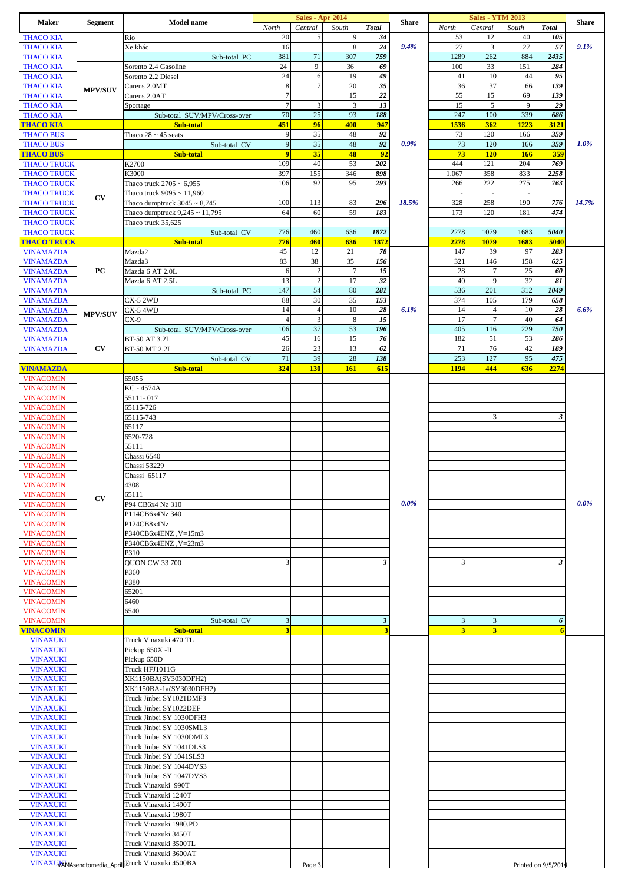| <b>Maker</b>                             | <b>Segment</b> | <b>Model name</b>                                    |                         | <b>Sales - Apr 2014</b> |                |                             | <b>Share</b> |              | <b>Sales - YTM 2013</b>  |              |                     | <b>Share</b> |
|------------------------------------------|----------------|------------------------------------------------------|-------------------------|-------------------------|----------------|-----------------------------|--------------|--------------|--------------------------|--------------|---------------------|--------------|
|                                          |                |                                                      | North                   | Central                 | South          | <b>Total</b>                |              | North        | Central                  | South        | <b>Total</b>        |              |
| <b>THACO KIA</b>                         |                | Rio                                                  | 20                      | $\sqrt{5}$              | 9<br>8         | 34                          |              | 53           | 12                       | 40           | 105                 |              |
| <b>THACO KIA</b><br><b>THACO KIA</b>     |                | Xe khác<br>Sub-total PC                              | 16<br>381               | 71                      | 307            | 24<br>759                   | 9.4%         | 27<br>1289   | $\mathfrak{Z}$<br>262    | 27<br>884    | 57<br>2435          | 9.1%         |
| <b>THACO KIA</b>                         |                | Sorento 2.4 Gasoline                                 | 24                      | 9                       | 36             | 69                          |              | 100          | 33                       | 151          | 284                 |              |
| <b>THACO KIA</b>                         |                | Sorento 2.2 Diesel                                   | 24                      | 6                       | 19             | 49                          |              | 41           | 10                       | 44           | 95                  |              |
| <b>THACO KIA</b>                         | <b>MPV/SUV</b> | Carens 2.0MT                                         | 8                       | $\overline{7}$          | 20             | 35                          |              | 36           | 37                       | 66           | 139                 |              |
| <b>THACO KIA</b>                         |                | Carens 2.0AT                                         | $\overline{7}$          |                         | 15             | 22                          |              | 55           | 15                       | 69           | 139                 |              |
| <b>THACO KIA</b>                         |                | Sportage                                             | $\tau$<br>70            | $\mathfrak z$<br>25     | 3<br>93        | 13<br>188                   |              | 15<br>247    | 5<br>100                 | 9<br>339     | 29<br>686           |              |
| <b>THACO KIA</b><br><b>THACO KIA</b>     |                | Sub-total SUV/MPV/Cross-over<br><b>Sub-total</b>     | 451                     | 96                      | 400            | 947                         |              | 1536         | 362                      | 1223         | 3121                |              |
| <b>THACO BUS</b>                         |                | Thaco $28 \sim 45$ seats                             | 9                       | 35                      | 48             | 92                          |              | 73           | 120                      | 166          | 359                 |              |
| <b>THACO BUS</b>                         |                | Sub-total CV                                         | $\overline{9}$          | 35                      | 48             | $\overline{92}$             | 0.9%         | 73           | 120                      | 166          | 359                 | 1.0%         |
| <b>THACO BUS</b>                         |                | Sub-total                                            | $\overline{9}$          | 35                      | 48             | 92                          |              | 73           | <b>120</b>               | 166          | 359                 |              |
| <b>THACO TRUCK</b>                       |                | K2700                                                | 109                     | 40                      | 53             | 202                         |              | 444          | 121                      | 204          | 769                 |              |
| <b>THACO TRUCK</b><br><b>THACO TRUCK</b> |                | K3000<br>Thaco truck $2705 \sim 6,955$               | 397<br>106              | 155<br>92               | 346<br>95      | 898<br>293                  |              | 1,067<br>266 | 358<br>222               | 833<br>275   | 2258<br>763         |              |
| <b>THACO TRUCK</b>                       |                | Thaco truck $9095 \sim 11,960$                       |                         |                         |                |                             |              |              | $\overline{\phantom{a}}$ |              |                     |              |
| <b>THACO TRUCK</b>                       | CV             | Thaco dumptruck $3045 \sim 8,745$                    | 100                     | 113                     | 83             | 296                         | 18.5%        | 328          | 258                      | 190          | 776                 | 14.7%        |
| <b>THACO TRUCK</b>                       |                | Thaco dumptruck $9,245 \sim 11,795$                  | 64                      | 60                      | 59             | 183                         |              | 173          | 120                      | 181          | 474                 |              |
| <b>THACO TRUCK</b>                       |                | Thaco truck 35,625                                   |                         |                         |                |                             |              |              |                          |              |                     |              |
| <b>THACO TRUCK</b>                       |                | Sub-total CV                                         | 776<br>776              | 460<br>460              | 636            | 1872<br>1872                |              | 2278<br>2278 | 1079<br>1079             | 1683<br>1683 | 5040<br>5040        |              |
| <b>THACO TRUCK</b><br><b>VINAMAZDA</b>   |                | Sub-total<br>Mazda2                                  | 45                      | 12                      | 636<br>21      | 78                          |              | 147          | 39                       | 97           | 283                 |              |
| <b>VINAMAZDA</b>                         |                | Mazda3                                               | 83                      | 38                      | 35             | 156                         |              | 321          | 146                      | 158          | 625                 |              |
| <b>VINAMAZDA</b>                         | PC             | Mazda 6 AT 2.0L                                      | 6                       | $\sqrt{2}$              | $\overline{7}$ | 15                          |              | 28           | $\overline{7}$           | 25           | 60                  |              |
| <b>VINAMAZDA</b>                         |                | Mazda 6 AT 2.5L                                      | 13                      | $\overline{c}$          | 17             | 32                          |              | 40           | 9                        | 32           | 81                  |              |
| <b>VINAMAZDA</b>                         |                | Sub-total PC<br><b>CX-5 2WD</b>                      | 147<br>88               | 54<br>30                | 80<br>35       | 281<br>153                  |              | 536<br>374   | 201<br>105               | 312<br>179   | 1049<br>658         |              |
| <b>VINAMAZDA</b><br><b>VINAMAZDA</b>     |                | CX-5 4WD                                             | 14                      | $\overline{4}$          | 10             | 28                          | 6.1%         | 14           | $\overline{4}$           | 10           | 28                  | 6.6%         |
| <b>VINAMAZDA</b>                         | <b>MPV/SUV</b> | $CX-9$                                               | $\overline{4}$          | $\mathfrak z$           | $\,8\,$        | 15                          |              | 17           | $\overline{7}$           | 40           | 64                  |              |
| <b>VINAMAZDA</b>                         |                | Sub-total SUV/MPV/Cross-over                         | 106                     | 37                      | 53             | 196                         |              | 405          | 116                      | 229          | 750                 |              |
| <b>VINAMAZDA</b>                         |                | BT-50 AT 3.2L                                        | 45                      | 16                      | 15             | 76                          |              | 182          | 51                       | 53           | 286                 |              |
| <b>VINAMAZDA</b>                         | CV             | BT-50 MT 2.2L                                        | 26                      | 23                      | 13             | 62                          |              | 71           | 76                       | 42           | 189                 |              |
| VINAMAZDA                                |                | Sub-total CV<br>Sub-total                            | 71<br>324               | 39<br>130               | 28<br>161      | 138<br>615                  |              | 253<br>1194  | 127<br>444               | 95<br>636    | 475<br>2274         |              |
| <b>VINACOMIN</b>                         |                | 65055                                                |                         |                         |                |                             |              |              |                          |              |                     |              |
| <b>VINACOMIN</b>                         |                | KC - 4574A                                           |                         |                         |                |                             |              |              |                          |              |                     |              |
| <b>VINACOMIN</b>                         |                | 55111-017                                            |                         |                         |                |                             |              |              |                          |              |                     |              |
| <b>VINACOMIN</b>                         |                | 65115-726                                            |                         |                         |                |                             |              |              |                          |              |                     |              |
| <b>VINACOMIN</b><br><b>VINACOMIN</b>     |                | 65115-743                                            |                         |                         |                |                             |              |              | 3                        |              | 3                   |              |
| <b>VINACOMIN</b>                         |                | 65117<br>6520-728                                    |                         |                         |                |                             |              |              |                          |              |                     |              |
| <b>VINACOMIN</b>                         |                | 55111                                                |                         |                         |                |                             |              |              |                          |              |                     |              |
| <b>VINACOMIN</b>                         |                | Chassi 6540                                          |                         |                         |                |                             |              |              |                          |              |                     |              |
| <b>VINACOMIN</b>                         |                | Chassi 53229                                         |                         |                         |                |                             |              |              |                          |              |                     |              |
| <b>VINACOMIN</b>                         |                | Chassi 65117                                         |                         |                         |                |                             |              |              |                          |              |                     |              |
| <b>VINACOMIN</b><br><b>VINACOMIN</b>     |                | 4308<br>65111                                        |                         |                         |                |                             |              |              |                          |              |                     |              |
| <b>VINACOMIN</b>                         | CV             | P94 CB6x4 Nz 310                                     |                         |                         |                |                             | $0.0\%$      |              |                          |              |                     | $0.0\%$      |
| <b>VINACOMIN</b>                         |                | P114CB6x4Nz 340                                      |                         |                         |                |                             |              |              |                          |              |                     |              |
| <b>VINACOMIN</b>                         |                | P124CB8x4Nz                                          |                         |                         |                |                             |              |              |                          |              |                     |              |
| <b>VINACOMIN</b>                         |                | P340CB6x4ENZ, V=15m3                                 |                         |                         |                |                             |              |              |                          |              |                     |              |
| <b>VINACOMIN</b><br><b>VINACOMIN</b>     |                | P340CB6x4ENZ, V=23m3<br>P310                         |                         |                         |                |                             |              |              |                          |              |                     |              |
| <b>VINACOMIN</b>                         |                | QUON CW 33 700                                       | 3                       |                         |                | 3                           |              | 3            |                          |              | 3                   |              |
| <b>VINACOMIN</b>                         |                | P360                                                 |                         |                         |                |                             |              |              |                          |              |                     |              |
| <b>VINACOMIN</b>                         |                | P380                                                 |                         |                         |                |                             |              |              |                          |              |                     |              |
| <b>VINACOMIN</b>                         |                | 65201                                                |                         |                         |                |                             |              |              |                          |              |                     |              |
| <b>VINACOMIN</b><br><b>VINACOMIN</b>     |                | 6460<br>6540                                         |                         |                         |                |                             |              |              |                          |              |                     |              |
| <b>VINACOMIN</b>                         |                | Sub-total CV                                         | 3                       |                         |                | $\boldsymbol{\mathfrak{z}}$ |              | 3            | 3                        |              | 6                   |              |
| <b>VINACOMIN</b>                         |                | Sub-total                                            | $\overline{\mathbf{3}}$ |                         |                | 3                           |              | 3            | 3                        |              | 6                   |              |
| <b>VINAXUKI</b>                          |                | Truck Vinaxuki 470 TL                                |                         |                         |                |                             |              |              |                          |              |                     |              |
| <b>VINAXUKI</b>                          |                | Pickup 650X -II                                      |                         |                         |                |                             |              |              |                          |              |                     |              |
| <b>VINAXUKI</b><br><b>VINAXUKI</b>       |                | Pickup 650D<br>Truck HFJ1011G                        |                         |                         |                |                             |              |              |                          |              |                     |              |
| <b>VINAXUKI</b>                          |                | XK1150BA(SY3030DFH2)                                 |                         |                         |                |                             |              |              |                          |              |                     |              |
| <b>VINAXUKI</b>                          |                | XK1150BA-1a(SY3030DFH2)                              |                         |                         |                |                             |              |              |                          |              |                     |              |
| <b>VINAXUKI</b>                          |                | Truck Jinbei SY1021DMF3                              |                         |                         |                |                             |              |              |                          |              |                     |              |
| <b>VINAXUKI</b>                          |                | Truck Jinbei SY1022DEF                               |                         |                         |                |                             |              |              |                          |              |                     |              |
| <b>VINAXUKI</b><br><b>VINAXUKI</b>       |                | Truck Jinbei SY 1030DFH3<br>Truck Jinbei SY 1030SML3 |                         |                         |                |                             |              |              |                          |              |                     |              |
| <b>VINAXUKI</b>                          |                | Truck Jinbei SY 1030DML3                             |                         |                         |                |                             |              |              |                          |              |                     |              |
| <b>VINAXUKI</b>                          |                | Truck Jinbei SY 1041DLS3                             |                         |                         |                |                             |              |              |                          |              |                     |              |
| <b>VINAXUKI</b>                          |                | Truck Jinbei SY 1041SLS3                             |                         |                         |                |                             |              |              |                          |              |                     |              |
| <b>VINAXUKI</b>                          |                | Truck Jinbei SY 1044DVS3                             |                         |                         |                |                             |              |              |                          |              |                     |              |
| <b>VINAXUKI</b><br><b>VINAXUKI</b>       |                | Truck Jinbei SY 1047DVS3<br>Truck Vinaxuki 990T      |                         |                         |                |                             |              |              |                          |              |                     |              |
| <b>VINAXUKI</b>                          |                | Truck Vinaxuki 1240T                                 |                         |                         |                |                             |              |              |                          |              |                     |              |
| <b>VINAXUKI</b>                          |                | Truck Vinaxuki 1490T                                 |                         |                         |                |                             |              |              |                          |              |                     |              |
| <b>VINAXUKI</b>                          |                | Truck Vinaxuki 1980T                                 |                         |                         |                |                             |              |              |                          |              |                     |              |
| <b>VINAXUKI</b>                          |                | Truck Vinaxuki 1980.PD                               |                         |                         |                |                             |              |              |                          |              |                     |              |
| <b>VINAXUKI</b><br><b>VINAXUKI</b>       |                | Truck Vinaxuki 3450T<br>Truck Vinaxuki 3500TL        |                         |                         |                |                             |              |              |                          |              |                     |              |
| <b>VINAXUKI</b>                          |                | Truck Vinaxuki 3600AT                                |                         |                         |                |                             |              |              |                          |              |                     |              |
|                                          |                | VINAXUXAMAsendtomedia_AprilLTruck Vinaxuki 4500BA    |                         | Page 3                  |                |                             |              |              |                          |              | Printed on 9/5/2014 |              |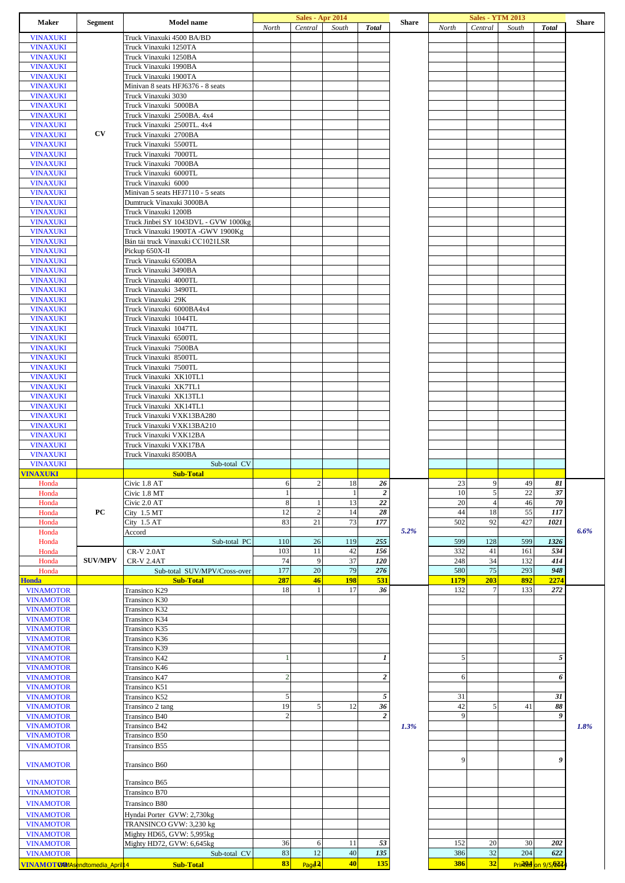| Maker                                             | <b>Segment</b> | <b>Model name</b>                                            | North          | Sales - Apr 2014<br>Central | South          | <b>Total</b>            | <b>Share</b> | North       | <b>Sales - YTM 2013</b><br>Central | South | <b>Total</b>              | <b>Share</b> |
|---------------------------------------------------|----------------|--------------------------------------------------------------|----------------|-----------------------------|----------------|-------------------------|--------------|-------------|------------------------------------|-------|---------------------------|--------------|
| <b>VINAXUKI</b>                                   |                | Truck Vinaxuki 4500 BA/BD                                    |                |                             |                |                         |              |             |                                    |       |                           |              |
| <b>VINAXUKI</b>                                   |                | Truck Vinaxuki 1250TA                                        |                |                             |                |                         |              |             |                                    |       |                           |              |
| <b>VINAXUKI</b>                                   |                | Truck Vinaxuki 1250BA                                        |                |                             |                |                         |              |             |                                    |       |                           |              |
| <b>VINAXUKI</b>                                   |                | Truck Vinaxuki 1990BA                                        |                |                             |                |                         |              |             |                                    |       |                           |              |
| <b>VINAXUKI</b>                                   |                | Truck Vinaxuki 1900TA                                        |                |                             |                |                         |              |             |                                    |       |                           |              |
| <b>VINAXUKI</b>                                   |                | Minivan 8 seats HFJ6376 - 8 seats                            |                |                             |                |                         |              |             |                                    |       |                           |              |
| <b>VINAXUKI</b>                                   |                | Truck Vinaxuki 3030                                          |                |                             |                |                         |              |             |                                    |       |                           |              |
| <b>VINAXUKI</b>                                   |                | Truck Vinaxuki 5000BA                                        |                |                             |                |                         |              |             |                                    |       |                           |              |
| <b>VINAXUKI</b>                                   |                | Truck Vinaxuki 2500BA. 4x4                                   |                |                             |                |                         |              |             |                                    |       |                           |              |
| <b>VINAXUKI</b>                                   |                | Truck Vinaxuki 2500TL. 4x4                                   |                |                             |                |                         |              |             |                                    |       |                           |              |
| <b>VINAXUKI</b>                                   | CV             | Truck Vinaxuki 2700BA                                        |                |                             |                |                         |              |             |                                    |       |                           |              |
| <b>VINAXUKI</b>                                   |                | Truck Vinaxuki 5500TL                                        |                |                             |                |                         |              |             |                                    |       |                           |              |
| <b>VINAXUKI</b>                                   |                | Truck Vinaxuki 7000TL                                        |                |                             |                |                         |              |             |                                    |       |                           |              |
| <b>VINAXUKI</b>                                   |                | Truck Vinaxuki 7000BA                                        |                |                             |                |                         |              |             |                                    |       |                           |              |
| <b>VINAXUKI</b>                                   |                | Truck Vinaxuki 6000TL                                        |                |                             |                |                         |              |             |                                    |       |                           |              |
| <b>VINAXUKI</b>                                   |                | Truck Vinaxuki 6000                                          |                |                             |                |                         |              |             |                                    |       |                           |              |
| <b>VINAXUKI</b>                                   |                | Minivan 5 seats HFJ7110 - 5 seats                            |                |                             |                |                         |              |             |                                    |       |                           |              |
| <b>VINAXUKI</b>                                   |                | Dumtruck Vinaxuki 3000BA                                     |                |                             |                |                         |              |             |                                    |       |                           |              |
| <b>VINAXUKI</b><br><b>VINAXUKI</b>                |                | Truck Vinaxuki 1200B<br>Truck Jinbei SY 1043DVL - GVW 1000kg |                |                             |                |                         |              |             |                                    |       |                           |              |
| <b>VINAXUKI</b>                                   |                | Truck Vinaxuki 1900TA -GWV 1900Kg                            |                |                             |                |                         |              |             |                                    |       |                           |              |
| <b>VINAXUKI</b>                                   |                | Bán tải truck Vinaxuki CC1021LSR                             |                |                             |                |                         |              |             |                                    |       |                           |              |
| <b>VINAXUKI</b>                                   |                | Pickup 650X-II                                               |                |                             |                |                         |              |             |                                    |       |                           |              |
| <b>VINAXUKI</b>                                   |                | Truck Vinaxuki 6500BA                                        |                |                             |                |                         |              |             |                                    |       |                           |              |
| <b>VINAXUKI</b>                                   |                | Truck Vinaxuki 3490BA                                        |                |                             |                |                         |              |             |                                    |       |                           |              |
| <b>VINAXUKI</b>                                   |                | Truck Vinaxuki 4000TL                                        |                |                             |                |                         |              |             |                                    |       |                           |              |
| <b>VINAXUKI</b>                                   |                | Truck Vinaxuki 3490TL                                        |                |                             |                |                         |              |             |                                    |       |                           |              |
| <b>VINAXUKI</b>                                   |                | Truck Vinaxuki 29K                                           |                |                             |                |                         |              |             |                                    |       |                           |              |
| <b>VINAXUKI</b>                                   |                | Truck Vinaxuki 6000BA4x4                                     |                |                             |                |                         |              |             |                                    |       |                           |              |
| <b>VINAXUKI</b>                                   |                | Truck Vinaxuki 1044TL                                        |                |                             |                |                         |              |             |                                    |       |                           |              |
| <b>VINAXUKI</b>                                   |                | Truck Vinaxuki 1047TL                                        |                |                             |                |                         |              |             |                                    |       |                           |              |
| <b>VINAXUKI</b>                                   |                | Truck Vinaxuki 6500TL                                        |                |                             |                |                         |              |             |                                    |       |                           |              |
| <b>VINAXUKI</b>                                   |                | Truck Vinaxuki 7500BA                                        |                |                             |                |                         |              |             |                                    |       |                           |              |
| <b>VINAXUKI</b>                                   |                | Truck Vinaxuki 8500TL                                        |                |                             |                |                         |              |             |                                    |       |                           |              |
| <b>VINAXUKI</b>                                   |                | Truck Vinaxuki 7500TL                                        |                |                             |                |                         |              |             |                                    |       |                           |              |
| <b>VINAXUKI</b>                                   |                | Truck Vinaxuki XK10TL1                                       |                |                             |                |                         |              |             |                                    |       |                           |              |
| <b>VINAXUKI</b>                                   |                | Truck Vinaxuki XK7TL1                                        |                |                             |                |                         |              |             |                                    |       |                           |              |
| <b>VINAXUKI</b>                                   |                | Truck Vinaxuki XK13TL1                                       |                |                             |                |                         |              |             |                                    |       |                           |              |
| <b>VINAXUKI</b>                                   |                | Truck Vinaxuki XK14TL1                                       |                |                             |                |                         |              |             |                                    |       |                           |              |
| <b>VINAXUKI</b>                                   |                | Truck Vinaxuki VXK13BA280                                    |                |                             |                |                         |              |             |                                    |       |                           |              |
| <b>VINAXUKI</b>                                   |                | Truck Vinaxuki VXK13BA210                                    |                |                             |                |                         |              |             |                                    |       |                           |              |
| <b>VINAXUKI</b>                                   |                | Truck Vinaxuki VXK12BA                                       |                |                             |                |                         |              |             |                                    |       |                           |              |
| <b>VINAXUKI</b><br><b>VINAXUKI</b>                |                | Truck Vinaxuki VXK17BA<br>Truck Vinaxuki 8500BA              |                |                             |                |                         |              |             |                                    |       |                           |              |
| <b>VINAXUKI</b>                                   |                | Sub-total CV                                                 |                |                             |                |                         |              |             |                                    |       |                           |              |
| <b>VINAXUKI</b>                                   |                | <b>Sub-Total</b>                                             |                |                             |                |                         |              |             |                                    |       |                           |              |
| Honda                                             |                | Civic 1.8 AT                                                 | 6              | $\overline{c}$              | 18             | 26                      |              | 23          | 9                                  | 49    | 81                        |              |
| Honda                                             |                | Civic 1.8 MT                                                 | $\overline{1}$ |                             | $\overline{1}$ | $\overline{\mathbf{c}}$ |              | 10          | 5                                  | 22    | 37                        |              |
| Honda                                             |                | Civic 2.0 AT                                                 | 8              | 1                           | 13             | 22                      |              | 20          | $\overline{4}$                     | 46    | 70                        |              |
| Honda                                             | PС             | City $1.5$ MT                                                | 12             | $\sqrt{2}$                  | 14             | 28                      |              | 44          | 18                                 | 55    | 117                       |              |
| Honda                                             |                | $City$ 1.5 $AT$                                              | 83             | 21                          | 73             | 177                     |              | 502         | 92                                 | 427   | 1021                      |              |
| Honda                                             |                | Accord                                                       |                |                             |                |                         | 5.2%         |             |                                    |       |                           | 6.6%         |
| Honda                                             |                | Sub-total PC                                                 | 110            | 26                          | 119            | 255                     |              | 599         | 128                                | 599   | 1326                      |              |
| Honda                                             |                | CR-V 2.0AT                                                   | 103            | 11                          | 42             | 156                     |              | 332         | 41                                 | 161   | 534                       |              |
| Honda                                             | <b>SUV/MPV</b> | <b>CR-V 2.4AT</b>                                            | 74             | 9                           | 37             | 120                     |              | 248         | 34                                 | 132   | 414                       |              |
| Honda                                             |                | Sub-total SUV/MPV/Cross-over                                 | 177            | 20                          | 79             | 276                     |              | 580         | 75                                 | 293   | 948                       |              |
| <b>Honda</b>                                      |                | <b>Sub-Total</b>                                             | 287            | 46                          | <b>198</b>     | 531                     |              | <b>1179</b> | 203                                | 892   | 2274                      |              |
| <b>VINAMOTOR</b>                                  |                | Transinco K29                                                | 18             | 1                           | 17             | 36                      |              | 132         | $\overline{7}$                     | 133   | 272                       |              |
| <b>VINAMOTOR</b>                                  |                | Transinco K30                                                |                |                             |                |                         |              |             |                                    |       |                           |              |
| <b>VINAMOTOR</b>                                  |                | Transinco K32                                                |                |                             |                |                         |              |             |                                    |       |                           |              |
| <b>VINAMOTOR</b>                                  |                | Transinco K34                                                |                |                             |                |                         |              |             |                                    |       |                           |              |
| <b>VINAMOTOR</b>                                  |                | Transinco K35<br>Transinco K36                               |                |                             |                |                         |              |             |                                    |       |                           |              |
| <b>VINAMOTOR</b><br><b>VINAMOTOR</b>              |                | Transinco K39                                                |                |                             |                |                         |              |             |                                    |       |                           |              |
| <b>VINAMOTOR</b>                                  |                | Transinco K42                                                | $\mathbf{1}$   |                             |                | 1                       |              | 5           |                                    |       | 5                         |              |
| <b>VINAMOTOR</b>                                  |                | Transinco K46                                                |                |                             |                |                         |              |             |                                    |       |                           |              |
| <b>VINAMOTOR</b>                                  |                | Transinco K47                                                | $\sqrt{2}$     |                             |                | $\boldsymbol{2}$        |              | 6           |                                    |       | 6                         |              |
| <b>VINAMOTOR</b>                                  |                | Transinco K51                                                |                |                             |                |                         |              |             |                                    |       |                           |              |
| <b>VINAMOTOR</b>                                  |                | Transinco K52                                                | $\mathfrak{s}$ |                             |                | 5                       |              | 31          |                                    |       | 31                        |              |
| <b>VINAMOTOR</b>                                  |                | Transinco 2 tang                                             | 19             | 5                           | 12             | 36                      |              | 42          | 5                                  | 41    | 88                        |              |
| <b>VINAMOTOR</b>                                  |                | Transinco B40                                                | $\sqrt{2}$     |                             |                | $\boldsymbol{2}$        |              | 9           |                                    |       | 9                         |              |
| <b>VINAMOTOR</b>                                  |                | Transinco B42                                                |                |                             |                |                         | 1.3%         |             |                                    |       |                           | 1.8%         |
| <b>VINAMOTOR</b>                                  |                | Transinco B50                                                |                |                             |                |                         |              |             |                                    |       |                           |              |
| <b>VINAMOTOR</b>                                  |                | Transinco B55                                                |                |                             |                |                         |              |             |                                    |       |                           |              |
|                                                   |                |                                                              |                |                             |                |                         |              |             |                                    |       |                           |              |
| <b>VINAMOTOR</b>                                  |                | Transinco B60                                                |                |                             |                |                         |              | 9           |                                    |       | 9                         |              |
|                                                   |                |                                                              |                |                             |                |                         |              |             |                                    |       |                           |              |
| <b>VINAMOTOR</b>                                  |                | Transinco B65                                                |                |                             |                |                         |              |             |                                    |       |                           |              |
| <b>VINAMOTOR</b>                                  |                | Transinco B70                                                |                |                             |                |                         |              |             |                                    |       |                           |              |
| <b>VINAMOTOR</b>                                  |                | Transinco B80                                                |                |                             |                |                         |              |             |                                    |       |                           |              |
| <b>VINAMOTOR</b>                                  |                | Hyndai Porter GVW: 2,730kg                                   |                |                             |                |                         |              |             |                                    |       |                           |              |
| <b>VINAMOTOR</b>                                  |                | TRANSINCO GVW: 3,230 kg                                      |                |                             |                |                         |              |             |                                    |       |                           |              |
| <b>VINAMOTOR</b>                                  |                |                                                              |                |                             |                |                         |              |             |                                    |       |                           |              |
|                                                   |                | Mighty HD65, GVW: 5,995kg                                    |                |                             |                |                         |              |             |                                    |       |                           |              |
| <b>VINAMOTOR</b>                                  |                | Mighty HD72, GVW: 6,645kg                                    | 36             | 6                           | 11             | 53                      |              | 152         | 20                                 | 30    | 202                       |              |
| <b>VINAMOTOR</b><br>VINAMOTOWASendtomedia April14 |                | Sub-total CV                                                 | 83<br>83       | 12<br>Pagd <sub>2</sub>     | 40<br>40       | 135<br>135              |              | 386<br>386  | 32<br>32                           | 204   | 622<br>Printed on 9/5/232 |              |